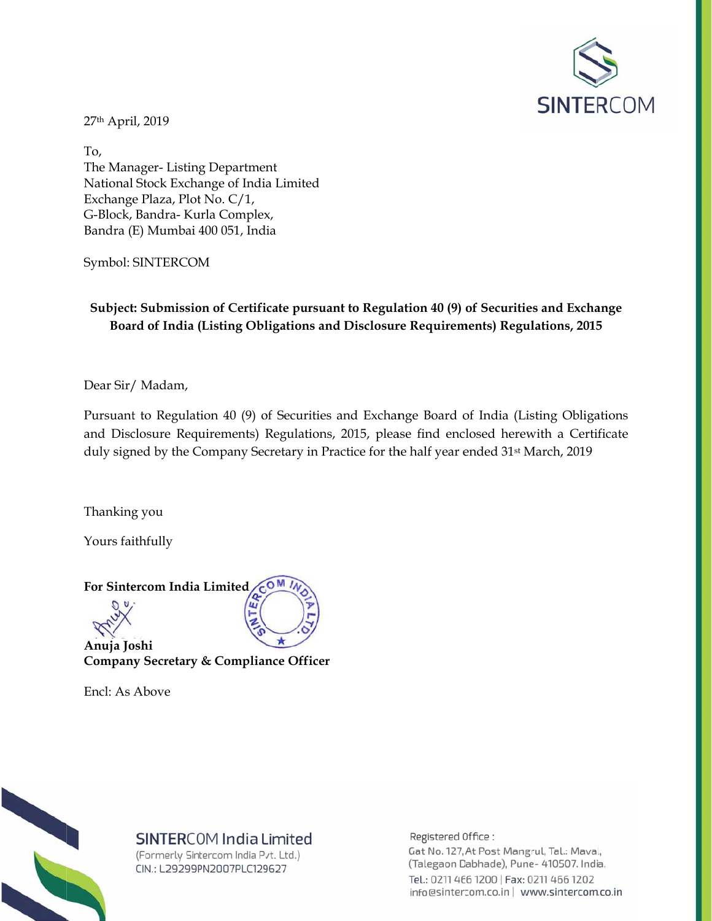

27th April, 2019

To. The Manager-Listing Department National Stock Exchange of India Limited Exchange Plaza, Plot No. C/1, G-Block, Bandra- Kurla Complex, Bandra (E) Mumbai 400 051, India

Symbol: SINTERCOM

Subject: Submission of Certificate pursuant to Regulation 40 (9) of Securities and Exchange Board of India (Listing Obligations and Disclosure Requirements) Regulations, 2015

Dear Sir/Madam,

Pursuant to Regulation 40 (9) of Securities and Exchange Board of India (Listing Obligations and Disclosure Requirements) Regulations, 2015, please find enclosed herewith a Certificate duly signed by the Company Secretary in Practice for the half year ended 31<sup>st</sup> March, 2019

Thanking you

Yours faithfully



Anuja Joshi Company Secretary & Compliance Officer

Encl: As Above



## SINTERCOM India Limited

(Formerly Sintercom India Pvt. Ltd.) CIN.: L29299PN2007PLC129627

Registered Office: Gat No. 127, At Post Mangrul, Tal.: Maval, (Talegaon Dabhade), Pune- 410507. India. Tel.: 0211 466 1200 | Fax: 0211 466 1202 info@sintercom.co.in | www.sintercom.co.in